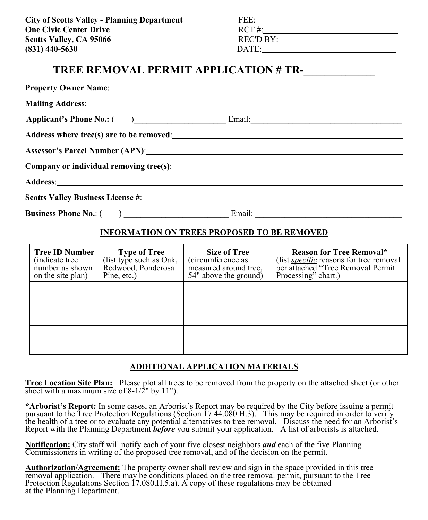**City of Scotts Valley - Planning Department One Civic Center Drive Scotts Valley, CA 95066 (831) 440-5630** 

| FEE:             |  |
|------------------|--|
| $RCT \#$ :       |  |
| <b>REC'D BY:</b> |  |
| DATE:            |  |

# **TREE REMOVAL PERMIT APPLICATION # TR-**\_\_\_\_\_\_\_\_\_\_\_\_\_\_\_\_\_

| Property Owner Name: 1988 and 2008 and 2008 and 2008 and 2008 and 2008 and 2008 and 2008 and 2008 and 2008 and 2008 and 2008 and 2008 and 2008 and 2008 and 2008 and 2008 and 2008 and 2008 and 2008 and 2008 and 2008 and 200         |                                                                                                                                                                                                                                |
|----------------------------------------------------------------------------------------------------------------------------------------------------------------------------------------------------------------------------------------|--------------------------------------------------------------------------------------------------------------------------------------------------------------------------------------------------------------------------------|
| <b>Mailing Address:</b> Mailing Address: Mailing Address: Mailing Address: Mailing Address: Mailing Address: Mailing Address: Mailing Address: Mailing Address: Mailing Address: Mailing Address: Mailing Address: Mailing Address:    |                                                                                                                                                                                                                                |
|                                                                                                                                                                                                                                        |                                                                                                                                                                                                                                |
| Address where tree(s) are to be removed:<br><u>Letting and the contract of the contract of the contract of the contract of the contract of the contract of the contract of the contract of the contract of the contract of the con</u> |                                                                                                                                                                                                                                |
| Assessor's Parcel Number (APN): New York Contract the Contract of the Contract of the Contract of the Contract of the Contract of the Contract of the Contract of the Contract of the Contract of the Contract of the Contract         |                                                                                                                                                                                                                                |
|                                                                                                                                                                                                                                        |                                                                                                                                                                                                                                |
| Address: Andreas Address: Address: Address: Address: Address: Address: Address: Address: Address: Address: Address: Address: Address: Address: Address: Address: Address: Address: Address: Address: Address: Address: Address         |                                                                                                                                                                                                                                |
|                                                                                                                                                                                                                                        |                                                                                                                                                                                                                                |
|                                                                                                                                                                                                                                        | Email: The Common Common Common Common Common Common Common Common Common Common Common Common Common Common Common Common Common Common Common Common Common Common Common Common Common Common Common Common Common Common C |

#### **INFORMATION ON TREES PROPOSED TO BE REMOVED**

| <b>Tree ID Number</b><br>(indicate tree)<br>number as shown<br>on the site plan) | <b>Type of Tree</b><br>(list type such as Oak,<br>Redwood, Ponderosa<br>Pine, etc.) | <b>Size of Tree</b><br>(circumference as<br>measured around tree,<br>54" above the ground) | <b>Reason for Tree Removal*</b><br>(list <i>specific</i> reasons for tree removal<br>per attached "Tree Removal Permit"<br>Processing" chart.) |
|----------------------------------------------------------------------------------|-------------------------------------------------------------------------------------|--------------------------------------------------------------------------------------------|------------------------------------------------------------------------------------------------------------------------------------------------|
|                                                                                  |                                                                                     |                                                                                            |                                                                                                                                                |
|                                                                                  |                                                                                     |                                                                                            |                                                                                                                                                |
|                                                                                  |                                                                                     |                                                                                            |                                                                                                                                                |
|                                                                                  |                                                                                     |                                                                                            |                                                                                                                                                |
|                                                                                  |                                                                                     |                                                                                            |                                                                                                                                                |

#### **ADDITIONAL APPLICATION MATERIALS**

**Tree Location Site Plan:** Please plot all trees to be removed from the property on the attached sheet (or other sheet with a maximum size of 8-1/2" by 11").

**\*Arborist's Report:** In some cases, an Arborist's Report may be required by the City before issuing a permit pursuant to the Tree Protection Regulations (Section 17.44.080.H.3). This may be required in order to verify the health of a tree or to evaluate any potential alternatives to tree removal. Discuss the need for an Arborist's Report with the Planning Department *before* you submit your application. A list of arborists is attached.

**Notification:** City staff will notify each of your five closest neighbors *and* each of the five Planning Commissioners in writing of the proposed tree removal, and of the decision on the permit.

**Authorization/Agreement:** The property owner shall review and sign in the space provided in this tree removal application. There may be conditions placed on the tree removal permit, pursuant to the Tree Protection Regulations Section 17.080.H.5.a). A copy of these regulations may be obtained at the Planning Department.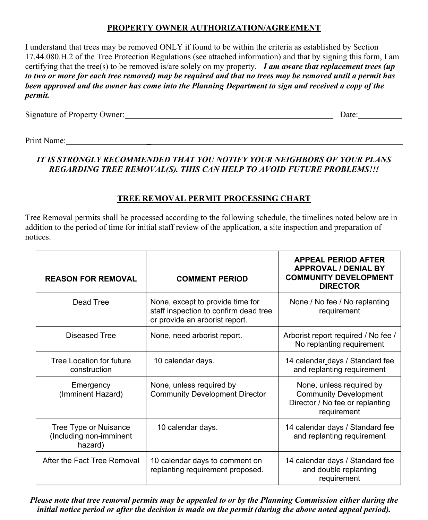### **PROPERTY OWNER AUTHORIZATION/AGREEMENT**

I understand that trees may be removed ONLY if found to be within the criteria as established by Section 17.44.080.H.2 of the Tree Protection Regulations (see attached information) and that by signing this form, I am certifying that the tree(s) to be removed is/are solely on my property. *I am aware that replacement trees (up to two or more for each tree removed) may be required and that no trees may be removed until a permit has been approved and the owner has come into the Planning Department to sign and received a copy of the permit.*

Signature of Property Owner:  $\Box$  Date:  $\Box$ 

Print Name: 2008. Example 2008. The set of the set of the set of the set of the set of the set of the set of the set of the set of the set of the set of the set of the set of the set of the set of the set of the set of the

## *IT IS STRONGLY RECOMMENDED THAT YOU NOTIFY YOUR NEIGHBORS OF YOUR PLANS REGARDING TREE REMOVAL(S). THIS CAN HELP TO AVOID FUTURE PROBLEMS!!!*

## **TREE REMOVAL PERMIT PROCESSING CHART**

Tree Removal permits shall be processed according to the following schedule, the timelines noted below are in addition to the period of time for initial staff review of the application, a site inspection and preparation of notices.

| <b>REASON FOR REMOVAL</b>                                   | <b>COMMENT PERIOD</b>                                                                                       | <b>APPEAL PERIOD AFTER</b><br><b>APPROVAL / DENIAL BY</b><br><b>COMMUNITY DEVELOPMENT</b><br><b>DIRECTOR</b> |
|-------------------------------------------------------------|-------------------------------------------------------------------------------------------------------------|--------------------------------------------------------------------------------------------------------------|
| Dead Tree                                                   | None, except to provide time for<br>staff inspection to confirm dead tree<br>or provide an arborist report. | None / No fee / No replanting<br>requirement                                                                 |
| Diseased Tree                                               | None, need arborist report.                                                                                 | Arborist report required / No fee /<br>No replanting requirement                                             |
| Tree Location for future<br>construction                    | 10 calendar days.                                                                                           | 14 calendar days / Standard fee<br>and replanting requirement                                                |
| Emergency<br>(Imminent Hazard)                              | None, unless required by<br><b>Community Development Director</b>                                           | None, unless required by<br><b>Community Development</b><br>Director / No fee or replanting<br>requirement   |
| Tree Type or Nuisance<br>(Including non-imminent<br>hazard) | 10 calendar days.                                                                                           | 14 calendar days / Standard fee<br>and replanting requirement                                                |
| After the Fact Tree Removal                                 | 10 calendar days to comment on<br>replanting requirement proposed.                                          | 14 calendar days / Standard fee<br>and double replanting<br>requirement                                      |

*Please note that tree removal permits may be appealed to or by the Planning Commission either during the initial notice period or after the decision is made on the permit (during the above noted appeal period).*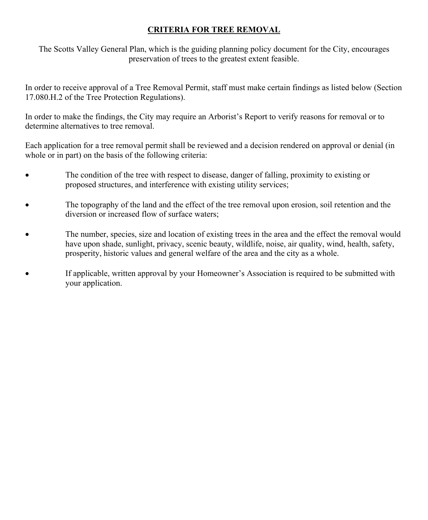### **CRITERIA FOR TREE REMOVAL**

The Scotts Valley General Plan, which is the guiding planning policy document for the City, encourages preservation of trees to the greatest extent feasible.

In order to receive approval of a Tree Removal Permit, staff must make certain findings as listed below (Section 17.080.H.2 of the Tree Protection Regulations).

In order to make the findings, the City may require an Arborist's Report to verify reasons for removal or to determine alternatives to tree removal.

Each application for a tree removal permit shall be reviewed and a decision rendered on approval or denial (in whole or in part) on the basis of the following criteria:

- The condition of the tree with respect to disease, danger of falling, proximity to existing or proposed structures, and interference with existing utility services;
- The topography of the land and the effect of the tree removal upon erosion, soil retention and the diversion or increased flow of surface waters;
- The number, species, size and location of existing trees in the area and the effect the removal would have upon shade, sunlight, privacy, scenic beauty, wildlife, noise, air quality, wind, health, safety, prosperity, historic values and general welfare of the area and the city as a whole.
- If applicable, written approval by your Homeowner's Association is required to be submitted with your application.